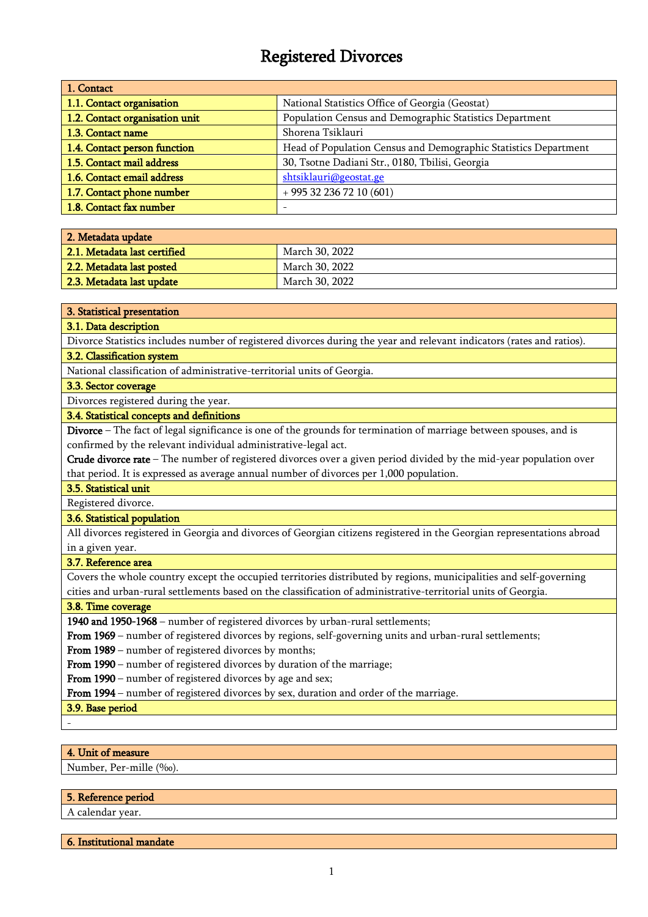# Registered Divorces

| 1. Contact                     |                                                                 |
|--------------------------------|-----------------------------------------------------------------|
| 1.1. Contact organisation      | National Statistics Office of Georgia (Geostat)                 |
| 1.2. Contact organisation unit | Population Census and Demographic Statistics Department         |
| 1.3. Contact name              | Shorena Tsiklauri                                               |
| 1.4. Contact person function   | Head of Population Census and Demographic Statistics Department |
| 1.5. Contact mail address      | 30, Tsotne Dadiani Str., 0180, Tbilisi, Georgia                 |
| 1.6. Contact email address     | shtsiklauri@geostat.ge                                          |
| 1.7. Contact phone number      | $+995322367210(601)$                                            |
| 1.8. Contact fax number        |                                                                 |

| 2. Metadata update           |                |
|------------------------------|----------------|
| 2.1. Metadata last certified | March 30, 2022 |
| 2.2. Metadata last posted    | March 30, 2022 |
| 2.3. Metadata last update    | March 30, 2022 |

#### 3. Statistical presentation

### 3.1. Data description

Divorce Statistics includes number of registered divorces during the year and relevant indicators (rates and ratios). 3.2. Classification system

National classification of administrative-territorial units of Georgia.

# 3.3. Sector coverage

# Divorces registered during the year.

### 3.4. Statistical concepts and definitions

Divorce – The fact of legal significance is one of the grounds for termination of marriage between spouses, and is confirmed by the relevant individual administrative-legal act.

Crude divorce rate – The number of registered divorces over a given period divided by the mid-year population over that period. It is expressed as average annual number of divorces per 1,000 population.

#### 3.5. Statistical unit

Registered divorce.

### 3.6. Statistical population

All divorces registered in Georgia and divorces of Georgian citizens registered in the Georgian representations abroad in a given year.

#### 3.7. Reference area

Covers the whole country except the occupied territories distributed by regions, municipalities and self-governing cities and urban-rural settlements based on the classification of administrative-territorial units of Georgia.

#### 3.8. Time coverage

1940 and 1950-1968 – number of registered divorces by urban-rural settlements;

- From 1969 number of registered divorces by regions, self-governing units and urban-rural settlements;
- From 1989 number of registered divorces by months;

From 1990 – number of registered divorces by duration of the marriage;

From 1990 – number of registered divorces by age and sex;

From 1994 – number of registered divorces by sex, duration and order of the marriage.

3.9. Base period

-

# 4. Unit of measure

Number, Per-mille (‰).

# 5. Reference period

A calendar year.

6. Institutional mandate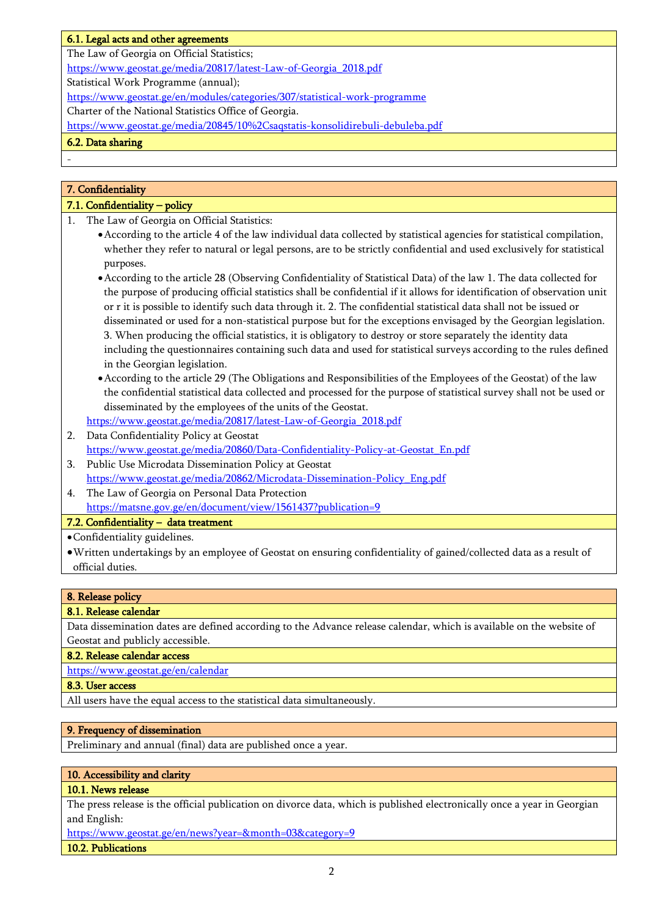# 6.1. Legal acts and other agreements

The Law of Georgia on Official Statistics;

[https://www.geostat.ge/media/20817/latest-Law-of-Georgia\\_2018.pdf](https://www.geostat.ge/media/20817/latest-Law-of-Georgia_2018.pdf)

Statistical Work Programme (annual);

<https://www.geostat.ge/en/modules/categories/307/statistical-work-programme>

Charter of the National Statistics Office of Georgia.

https://www.geostat.ge/media/20845/10%2Csaqstatis-konsolidirebuli-debuleba.pdf

## 6.2. Data sharing

-

# 7. Confidentiality

# 7.1. Confidentiality – policy

- 1. The Law of Georgia on Official Statistics:
	- •According to the article 4 of the law individual data collected by statistical agencies for statistical compilation, whether they refer to natural or legal persons, are to be strictly confidential and used exclusively for statistical purposes.
	- •According to the article 28 (Observing Confidentiality of Statistical Data) of the law 1. The data collected for the purpose of producing official statistics shall be confidential if it allows for identification of observation unit or r it is possible to identify such data through it. 2. The confidential statistical data shall not be issued or disseminated or used for a non-statistical purpose but for the exceptions envisaged by the Georgian legislation. 3. When producing the official statistics, it is obligatory to destroy or store separately the identity data including the questionnaires containing such data and used for statistical surveys according to the rules defined in the Georgian legislation.
	- •According to the article 29 (The Obligations and Responsibilities of the Employees of the Geostat) of the law the confidential statistical data collected and processed for the purpose of statistical survey shall not be used or disseminated by the employees of the units of the Geostat.
	- [https://www.geostat.ge/media/20817/latest-Law-of-Georgia\\_2018.pdf](https://www.geostat.ge/media/20817/latest-Law-of-Georgia_2018.pdf)
- 2. Data Confidentiality Policy at Geostat [https://www.geostat.ge/media/20860/Data-Confidentiality-Policy-at-Geostat\\_En.pdf](https://www.geostat.ge/media/20860/Data-Confidentiality-Policy-at-Geostat_En.pdf)
- 3. Public Use Microdata Dissemination Policy at Geostat [https://www.geostat.ge/media/20862/Microdata-Dissemination-Policy\\_Eng.pdf](https://www.geostat.ge/media/20862/Microdata-Dissemination-Policy_Eng.pdf)
- 4. The Law of Georgia on Personal Data Protection https://matsne.gov.ge/en/document/view/1561437?publication=9

# 7.2. Confidentiality – data treatment

•Confidentiality guidelines.

•Written undertakings by an employee of Geostat on ensuring confidentiality of gained/collected data as a result of official duties.

# 8. Release policy

#### 8.1. Release calendar

Data dissemination dates are defined according to the Advance release calendar, which is available on the website of Geostat and publicly accessible.

#### 8.2. Release calendar access

<https://www.geostat.ge/en/calendar>

## 8.3. User access

All users have the equal access to the statistical data simultaneously.

#### 9. Frequency of dissemination

Preliminary and annual (final) data are published once a year.

#### 10. Accessibility and clarity

## 10.1. News release

The press release is the official publication on divorce data, which is published electronically once a year in Georgian and English:

<https://www.geostat.ge/en/news?year=&month=03&category=9>

#### 10.2. Publications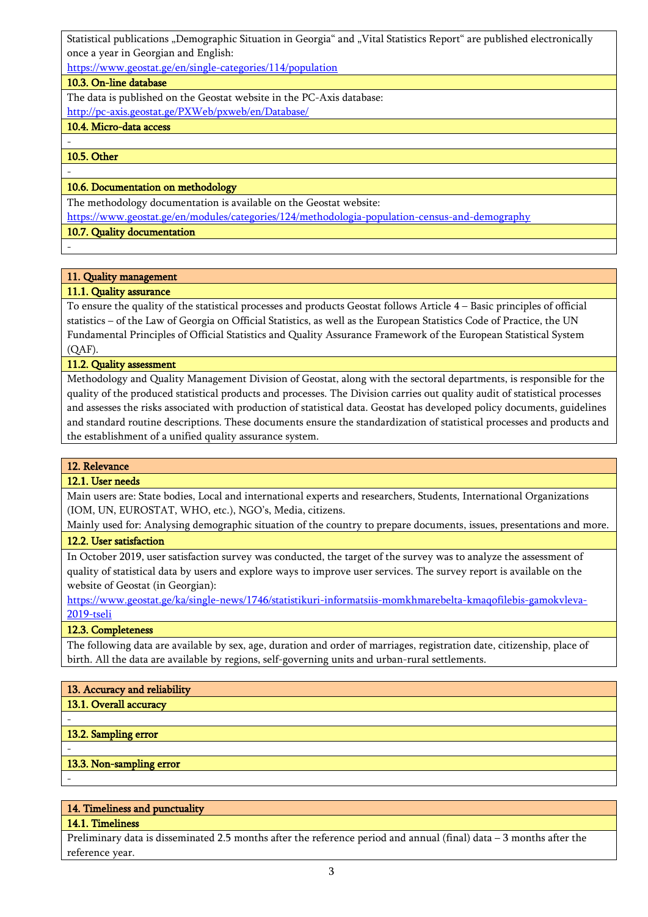Statistical publications "Demographic Situation in Georgia" and "Vital Statistics Report" are published electronically once a year in Georgian and English:

<https://www.geostat.ge/en/single-categories/114/population>

## 10.3. On-line database

The data is published on the Geostat website in the PC-Axis database: <http://pc-axis.geostat.ge/PXWeb/pxweb/en/Database/>

## 10.4. Micro-data access

### 10.5. Other

-

-

-

## 10.6. Documentation on methodology

The methodology documentation is available on the Geostat website:

<https://www.geostat.ge/en/modules/categories/124/methodologia-population-census-and-demography>

# 10.7. Quality documentation

# 11. Quality management

# 11.1. Quality assurance

To ensure the quality of the statistical processes and products Geostat follows Article 4 – Basic principles of official statistics – of the Law of Georgia on Official Statistics, as well as the European Statistics Code of Practice, the UN Fundamental Principles of Official Statistics and Quality Assurance Framework of the European Statistical System (QAF).

# 11.2. Quality assessment

Methodology and Quality Management Division of Geostat, along with the sectoral departments, is responsible for the quality of the produced statistical products and processes. The Division carries out quality audit of statistical processes and assesses the risks associated with production of statistical data. Geostat has developed policy documents, guidelines and standard routine descriptions. These documents ensure the standardization of statistical processes and products and the establishment of a unified quality assurance system.

# 12. Relevance

# 12.1. User needs

Main users are: State bodies, Local and international experts and researchers, Students, International Organizations (IOM, UN, EUROSTAT, WHO, etc.), NGO's, Media, citizens.

Mainly used for: Analysing demographic situation of the country to prepare documents, issues, presentations and more.

# 12.2. User satisfaction

In October 2019, user satisfaction survey was conducted, the target of the survey was to analyze the assessment of quality of statistical data by users and explore ways to improve user services. The survey report is available on the website of Geostat (in Georgian):

[https://www.geostat.ge/ka/single-news/1746/statistikuri-informatsiis-momkhmarebelta-kmaqofilebis-gamokvleva-](https://www.geostat.ge/ka/single-news/1746/statistikuri-informatsiis-momkhmarebelta-kmaqofilebis-gamokvleva-2019-tseli)[2019-tseli](https://www.geostat.ge/ka/single-news/1746/statistikuri-informatsiis-momkhmarebelta-kmaqofilebis-gamokvleva-2019-tseli)

# 12.3. Completeness

The following data are available by sex, age, duration and order of marriages, registration date, citizenship, place of birth. All the data are available by regions, self-governing units and urban-rural settlements.

# 13. Accuracy and reliability

13.1. Overall accuracy

# 13.2. Sampling error

# 13.3. Non-sampling error

-

-

-

# 14. Timeliness and punctuality

### 14.1. Timeliness

Preliminary data is disseminated 2.5 months after the reference period and annual (final) data – 3 months after the reference year.